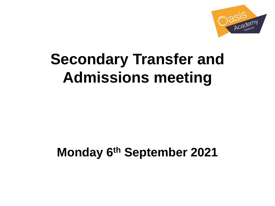

# **Secondary Transfer and Admissions meeting**

# **Monday 6th September 2021**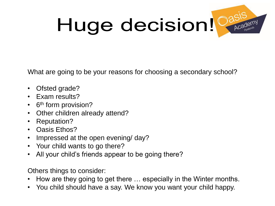# Huge decision! Casis



What are going to be your reasons for choosing a secondary school?

- Ofsted grade?
- Exam results?
- 6<sup>th</sup> form provision?
- Other children already attend?
- Reputation?
- Oasis Ethos?
- Impressed at the open evening/ day?
- Your child wants to go there?
- All your child's friends appear to be going there?

Others things to consider:

- How are they going to get there … especially in the Winter months.
- You child should have a say. We know you want your child happy.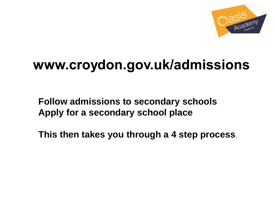

# www.croydon.gov.uk/admissions

**Follow admissions to secondary schools Apply for a secondary school place** 

**This then takes you through a 4 step process**.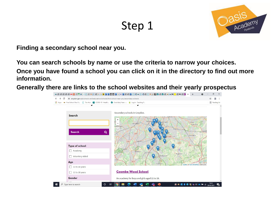### Step 1



**Finding a secondary school near you.**

**You can search schools by name or use the criteria to narrow your choices. Once you have found a school you can click on it in the directory to find out more information.**

**Generally there are links to the school websites and their yearly prospectus**

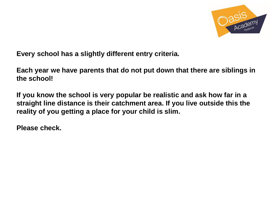

**Every school has a slightly different entry criteria.**

**Each year we have parents that do not put down that there are siblings in the school!**

**If you know the school is very popular be realistic and ask how far in a straight line distance is their catchment area. If you live outside this the reality of you getting a place for your child is slim.**

**Please check.**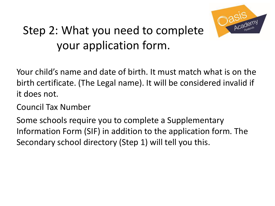

# Step 2: What you need to complete your application form.

Your child's name and date of birth. It must match what is on the birth certificate. (The Legal name). It will be considered invalid if it does not.

Council Tax Number

Some schools require you to complete a Supplementary Information Form (SIF) in addition to the application form. The Secondary school directory (Step 1) will tell you this.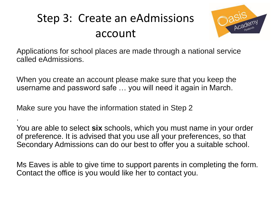# Step 3: Create an eAdmissions account



Applications for school places are made through a national service called eAdmissions.

When you create an account please make sure that you keep the username and password safe … you will need it again in March.

Make sure you have the information stated in Step 2

.

You are able to select **six** schools, which you must name in your order of preference. It is advised that you use all your preferences, so that Secondary Admissions can do our best to offer you a suitable school.

Ms Eaves is able to give time to support parents in completing the form. Contact the office is you would like her to contact you.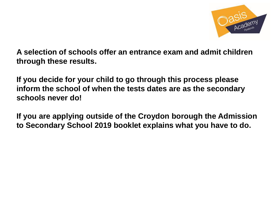

**A selection of schools offer an entrance exam and admit children through these results.** 

**If you decide for your child to go through this process please inform the school of when the tests dates are as the secondary schools never do!**

**If you are applying outside of the Croydon borough the Admission to Secondary School 2019 booklet explains what you have to do.**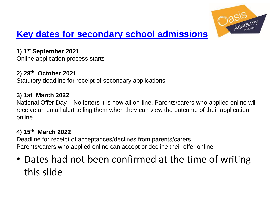

### **[Key dates for secondary school admissions](http://www.croydon.gov.uk/education/schools-new/school-admissions/how-to-apply/SA-step11/SA-key-dates-sec)**

**1) 1st September 2021** Online application process starts

**2) 29th October 2021** Statutory deadline for receipt of secondary applications

#### **3) 1st March 2022**

National Offer Day – No letters it is now all on-line. Parents/carers who applied online will receive an email alert telling them when they can view the outcome of their application online

#### **4) 15th March 2022**

Deadline for receipt of acceptances/declines from parents/carers. Parents/carers who applied online can accept or decline their offer online.

### • Dates had not been confirmed at the time of writing this slide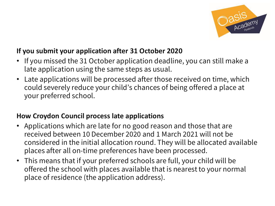

#### **If you submit your application after 31 October 2020**

- If you missed the 31 October application deadline, you can still make a late application using the same steps as usual.
- Late applications will be processed after those received on time, which could severely reduce your child's chances of being offered a place at your preferred school.

#### **How Croydon Council process late applications**

- Applications which are late for no good reason and those that are received between 10 December 2020 and 1 March 2021 will not be considered in the initial allocation round. They will be allocated available places after all on-time preferences have been processed.
- This means that if your preferred schools are full, your child will be offered the school with places available that is nearestto your normal place of residence (the application address).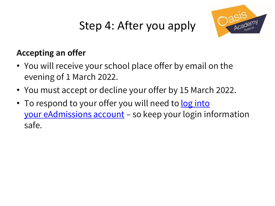# Step 4: After you apply



### **Accepting an offer**

- You will receive your school place offer by email on the evening of 1 March 2022.
- You must accept or decline your offer by 15 March 2022.
- [To respond to your offer you will need to](https://www.eadmissions.org.uk/) <u>log into</u> your eAdmissions account – so keep your login information safe.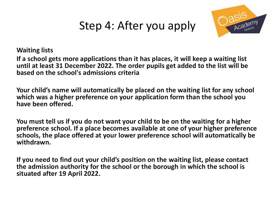## Step 4: After you apply



**Waiting lists**

**If a school gets more applications than it has places, it will keep a waiting list until at least 31 December 2022. The order pupils get added to the list will be based on the school's admissions criteria**

**Your child's name will automatically be placed on the waiting list for any school which was a higher preference on your application form than the school you have been offered.**

**You must tell us if you do not want your child to be on the waiting for a higher preference school. If a place becomes available at one of your higher preference schools, the place offered at your lower preference school will automatically be withdrawn.** 

**If you need to find out your child's position on the waiting list, please contact the admission authority for the school or the borough in which the school is situated after 19 April 2022.**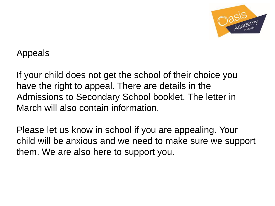

Appeals

If your child does not get the school of their choice you have the right to appeal. There are details in the Admissions to Secondary School booklet. The letter in March will also contain information.

Please let us know in school if you are appealing. Your child will be anxious and we need to make sure we support them. We are also here to support you.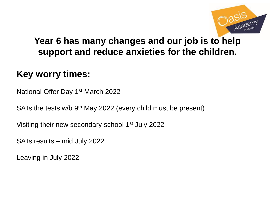

### **Year 6 has many changes and our job is to help support and reduce anxieties for the children.**

### **Key worry times:**

National Offer Day 1st March 2022

SATs the tests w/b 9<sup>th</sup> May 2022 (every child must be present)

Visiting their new secondary school 1<sup>st</sup> July 2022

SATs results – mid July 2022

Leaving in July 2022